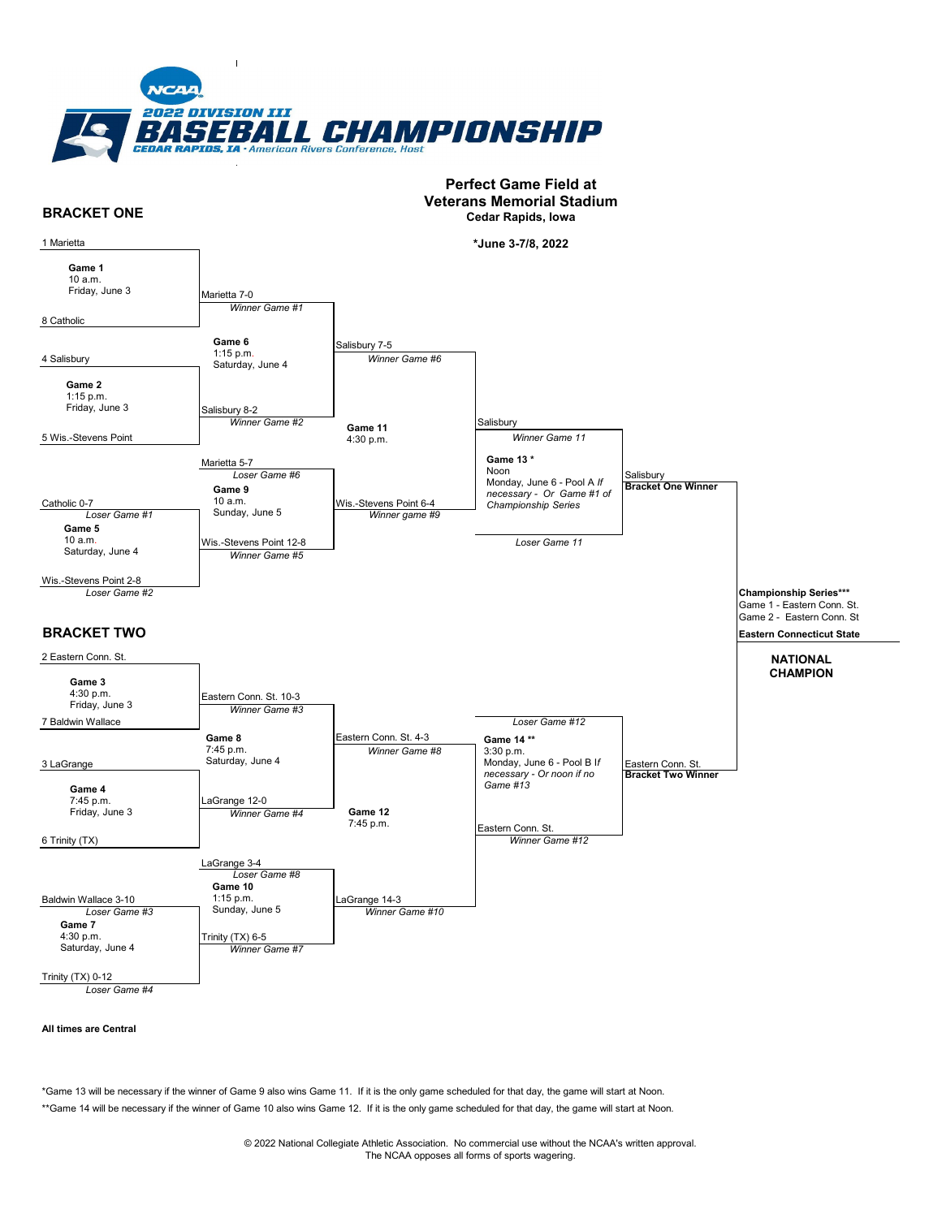

#### **BRACKET ONE** Salisbury **Bracket One Winner Championship Series\*\*\* BRACKET TWO** Eastern Conn. St. **Bracket Two Winner** *Winner Game #12 Winner Game #8* Wis.-Stevens Point 6-4 Eastern Conn. St. *Winner Game #6 Loser Game #6 Winner Game #3* **Friday, June 3 Game 12** *Winner Game #4* **<b>Game 12** *Winner Game #1* Salisbury 7-5 Eastern Conn. St. 4-3 *Winner game #9 Winner Game #5* Salisbury 8-2 *Winner Game #2* Wis.-Stevens Point 12-8 Eastern Conn. St. 10-3 LaGrange 12-0 Wis.-Stevens Point 2-8 Marietta 5-7 Baldwin Wallace 3-10 1 Marietta 8 Catholic 4 Salisbury 5 Wis.-Stevens Point 2 Eastern Conn. St. Marietta 7-0 *Loser Game #8 Loser Game #1 Loser Game #2* Catholic 0-7 6 Trinity (TX) 3 LaGrange 7 Baldwin Wallace LaGrange 3-4 *Winner Game #10* Trinity (TX) 6-5 *Loser Game #3* LaGrange 14-3 *Loser Game #12* **Salisbury** Game 1 - Eastern Conn. St. Game 2 - Eastern Conn. St **Eastern Connecticut State** *Winner Game 11 Loser Game 11* **NATIONAL CHAMPION Game 11** 4:30 p.m. **Game 1** 10 a.m. Friday, June 3 **Game 2** 1:15 p.m. Friday, June 3 **Game 6** 1:15 p.m. Saturday, June 4 **Game 9** 10 a.m. Sunday, June 5 **Game 5** 10 a.m. Saturday, June 4 **Game 3** 4:30 p.m. Friday, June 3 **Game 8** 7:45 p.m. Saturday, June 4 **Game 4** 7:45 p.m. 7:45 p.m. **Game 10** 1:15 p.m. Sunday, June 5 **Game 7** 4:30 p.m. Saturday, June 4 **Game 13 \*** Noon Monday, June 6 - Pool A *If necessary - Or Game #1 of Championship Series*  **Game 14 \*\*** 3:30 p.m. Monday, June 6 - Pool B I*f necessary - Or noon if no Game #13* **Veterans Memorial Stadium Cedar Rapids, Iowa \*June 3-7/8, 2022**

**Perfect Game Field at** 

*Loser Game #4*

## **All times are Central**

Trinity (TX) 0-12

\*Game 13 will be necessary if the winner of Game 9 also wins Game 11. If it is the only game scheduled for that day, the game will start at Noon. \*\*Game 14 will be necessary if the winner of Game 10 also wins Game 12. If it is the only game scheduled for that day, the game will start at Noon.

*Winner Game #7*